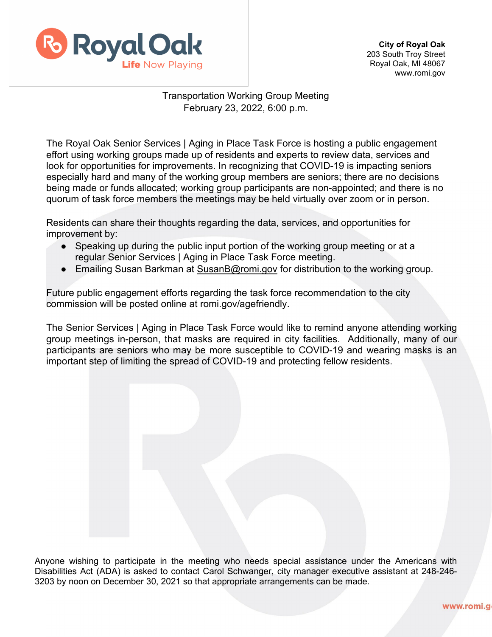

## Transportation Working Group Meeting February 23, 2022, 6:00 p.m.

The Royal Oak Senior Services | Aging in Place Task Force is hosting a public engagement effort using working groups made up of residents and experts to review data, services and look for opportunities for improvements. In recognizing that COVID-19 is impacting seniors especially hard and many of the working group members are seniors; there are no decisions being made or funds allocated; working group participants are non-appointed; and there is no quorum of task force members the meetings may be held virtually over zoom or in person.

Residents can share their thoughts regarding the data, services, and opportunities for improvement by:

- Speaking up during the public input portion of the working group meeting or at a regular Senior Services | Aging in Place Task Force meeting.
- Emailing Susan Barkman at [SusanB@romi.gov](mailto:SusanB@romi.gov) for distribution to the working group.

Future public engagement efforts regarding the task force recommendation to the city commission will be posted online at romi.gov/agefriendly.

The Senior Services | Aging in Place Task Force would like to remind anyone attending working group meetings in-person, that masks are required in city facilities. Additionally, many of our participants are seniors who may be more susceptible to COVID-19 and wearing masks is an important step of limiting the spread of COVID-19 and protecting fellow residents.

Anyone wishing to participate in the meeting who needs special assistance under the Americans with Disabilities Act (ADA) is asked to contact Carol Schwanger, city manager executive assistant at 248-246- 3203 by noon on December 30, 2021 so that appropriate arrangements can be made.